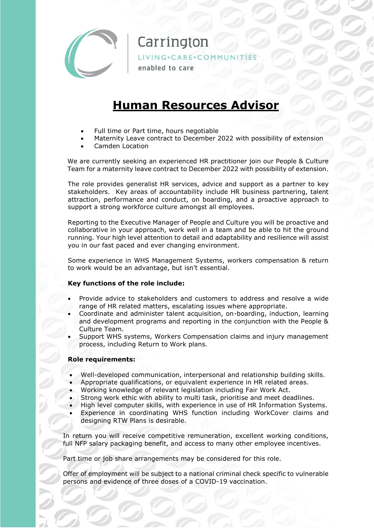

# Carrington

LIVING·CARE·COMMUNITIES

enabled to care

## **Human Resources Advisor**

- Full time or Part time, hours negotiable
- Maternity Leave contract to December 2022 with possibility of extension
- Camden Location

We are currently seeking an experienced HR practitioner join our People & Culture Team for a maternity leave contract to December 2022 with possibility of extension.

The role provides generalist HR services, advice and support as a partner to key stakeholders. Key areas of accountability include HR business partnering, talent attraction, performance and conduct, on boarding, and a proactive approach to support a strong workforce culture amongst all employees.

Reporting to the Executive Manager of People and Culture you will be proactive and collaborative in your approach, work well in a team and be able to hit the ground running. Your high level attention to detail and adaptability and resilience will assist you in our fast paced and ever changing environment.

Some experience in WHS Management Systems, workers compensation & return to work would be an advantage, but isn't essential.

### **Key functions of the role include:**

- Provide advice to stakeholders and customers to address and resolve a wide range of HR related matters, escalating issues where appropriate.
- Coordinate and administer talent acquisition, on-boarding, induction, learning and development programs and reporting in the conjunction with the People & Culture Team.
- Support WHS systems, Workers Compensation claims and injury management process, including Return to Work plans.

#### **Role requirements:**

- Well-developed communication, interpersonal and relationship building skills.
- Appropriate qualifications, or equivalent experience in HR related areas.
- Working knowledge of relevant legislation including Fair Work Act.
- Strong work ethic with ability to multi task, prioritise and meet deadlines.
- High level computer skills, with experience in use of HR Information Systems.
- Experience in coordinating WHS function including WorkCover claims and designing RTW Plans is desirable.

In return you will receive competitive remuneration, excellent working conditions, full NFP salary packaging benefit, and access to many other employee incentives.

Part time or job share arrangements may be considered for this role.

Offer of employment will be subject to a national criminal check specific to vulnerable persons and evidence of three doses of a COVID-19 vaccination.